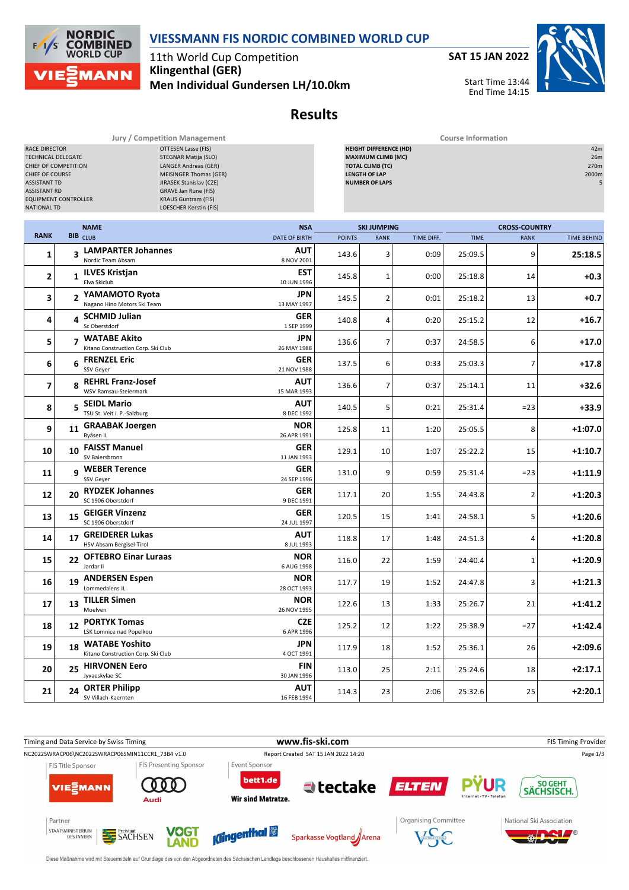

11th World Cup Competition **Klingenthal (GER) Men Individual Gundersen LH/10.0km** **SAT 15 JAN 2022**

Start Time 13:44 End Time 14:15

**Results**

**Jury / Competition Management Course Information**

| RACE DIRECTOR<br>TECHNICAL DELEGATE<br>CHIEF OF COMPETITION<br>CHIEF OF COURSE<br><b>ASSISTANT TD</b><br><b>ASSISTANT RD</b><br><b>EQUIPMENT CONTROLLER</b><br><b>NATIONAL TD</b> |    | OTTESEN Lasse (FIS)<br>STEGNAR Matija (SLO)<br><b>LANGER Andreas (GER)</b><br><b>MEISINGER Thomas (GER)</b><br>JIRASEK Stanislav (CZE)<br>GRAVE Jan Rune (FIS)<br><b>KRAUS Guntram (FIS)</b><br>LOESCHER Kerstin (FIS) |                           |               | <b>HEIGHT DIFFERENCE (HD)</b><br><b>MAXIMUM CLIMB (MC)</b><br><b>TOTAL CLIMB (TC)</b><br><b>LENGTH OF LAP</b><br><b>NUMBER OF LAPS</b> |            |             |                      | 42m<br>26m<br>270m<br>2000m<br>5 |
|-----------------------------------------------------------------------------------------------------------------------------------------------------------------------------------|----|------------------------------------------------------------------------------------------------------------------------------------------------------------------------------------------------------------------------|---------------------------|---------------|----------------------------------------------------------------------------------------------------------------------------------------|------------|-------------|----------------------|----------------------------------|
|                                                                                                                                                                                   |    | <b>NAME</b>                                                                                                                                                                                                            | <b>NSA</b>                |               | <b>SKI JUMPING</b>                                                                                                                     |            |             | <b>CROSS-COUNTRY</b> |                                  |
| <b>RANK</b>                                                                                                                                                                       |    | BIB CLUB                                                                                                                                                                                                               | <b>DATE OF BIRTH</b>      | <b>POINTS</b> | <b>RANK</b>                                                                                                                            | TIME DIFF. | <b>TIME</b> | <b>RANK</b>          | <b>TIME BEHIND</b>               |
| 1                                                                                                                                                                                 |    | 3 LAMPARTER Johannes<br>Nordic Team Absam                                                                                                                                                                              | AUT<br>8 NOV 2001         | 143.6         | 3                                                                                                                                      | 0:09       | 25:09.5     | 9                    | 25:18.5                          |
| $\mathbf 2$                                                                                                                                                                       |    | 1 ILVES Kristjan<br>Elva Skiclub                                                                                                                                                                                       | EST<br>10 JUN 1996        | 145.8         | $\mathbf{1}$                                                                                                                           | 0:00       | 25:18.8     | 14                   | $+0.3$                           |
| 3                                                                                                                                                                                 |    | 2 YAMAMOTO Ryota<br>Nagano Hino Motors Ski Team                                                                                                                                                                        | JPN<br>13 MAY 1997        | 145.5         | $\overline{2}$                                                                                                                         | 0:01       | 25:18.2     | 13                   | +0.7                             |
| 4                                                                                                                                                                                 |    | 4 SCHMID Julian<br>Sc Oberstdorf                                                                                                                                                                                       | GER<br>1 SEP 1999         | 140.8         | 4                                                                                                                                      | 0:20       | 25:15.2     | 12                   | $+16.7$                          |
| 5                                                                                                                                                                                 |    | 7 WATABE Akito<br>Kitano Construction Corp. Ski Club                                                                                                                                                                   | JPN<br>26 MAY 1988        | 136.6         | $\overline{7}$                                                                                                                         | 0:37       | 24:58.5     | 6                    | $+17.0$                          |
| 6                                                                                                                                                                                 | 6  | <b>FRENZEL Eric</b><br>SSV Geyer                                                                                                                                                                                       | GER<br>21 NOV 1988        | 137.5         | 6                                                                                                                                      | 0:33       | 25:03.3     | 7                    | $+17.8$                          |
| 7                                                                                                                                                                                 | 8  | <b>REHRL Franz-Josef</b><br>WSV Ramsau-Steiermark                                                                                                                                                                      | AUT<br>15 MAR 1993        | 136.6         | $\overline{7}$                                                                                                                         | 0:37       | 25:14.1     | 11                   | $+32.6$                          |
| 8                                                                                                                                                                                 |    | 5 SEIDL Mario<br>TSU St. Veit i. P.-Salzburg                                                                                                                                                                           | AUT<br>8 DEC 1992         | 140.5         | 5                                                                                                                                      | 0:21       | 25:31.4     | $= 23$               | $+33.9$                          |
| 9                                                                                                                                                                                 |    | 11 GRAABAK Joergen<br>Byåsen IL                                                                                                                                                                                        | <b>NOR</b><br>26 APR 1991 | 125.8         | 11                                                                                                                                     | 1:20       | 25:05.5     | 8                    | +1:07.0                          |
| 10                                                                                                                                                                                |    | 10 FAISST Manuel<br>SV Baiersbronn                                                                                                                                                                                     | GER<br>11 JAN 1993        | 129.1         | 10                                                                                                                                     | 1:07       | 25:22.2     | 15                   | $+1:10.7$                        |
| 11                                                                                                                                                                                | 9  | <b>WEBER Terence</b><br>SSV Geyer                                                                                                                                                                                      | GER<br>24 SEP 1996        | 131.0         | 9                                                                                                                                      | 0:59       | 25:31.4     | $= 23$               | +1:11.9                          |
| 12                                                                                                                                                                                | 20 | <b>RYDZEK Johannes</b><br>SC 1906 Oberstdorf                                                                                                                                                                           | GER<br>9 DEC 1991         | 117.1         | 20                                                                                                                                     | 1:55       | 24:43.8     | $\overline{2}$       | $+1:20.3$                        |
| 13                                                                                                                                                                                | 15 | <b>GEIGER Vinzenz</b><br>SC 1906 Oberstdorf                                                                                                                                                                            | GER<br>24 JUL 1997        | 120.5         | 15                                                                                                                                     | 1:41       | 24:58.1     | 5                    | +1:20.6                          |
| 14                                                                                                                                                                                | 17 | <b>GREIDERER Lukas</b><br>HSV Absam Bergisel-Tirol                                                                                                                                                                     | AUT<br>8 JUL 1993         | 118.8         | 17                                                                                                                                     | 1:48       | 24:51.3     | 4                    | $+1:20.8$                        |
| 15                                                                                                                                                                                |    | 22 OFTEBRO Einar Luraas<br>Jardar II                                                                                                                                                                                   | <b>NOR</b><br>6 AUG 1998  | 116.0         | 22                                                                                                                                     | 1:59       | 24:40.4     | 1                    | $+1:20.9$                        |
| 16                                                                                                                                                                                |    | 19 ANDERSEN Espen<br>Lommedalens IL                                                                                                                                                                                    | <b>NOR</b><br>28 OCT 1993 | 117.7         | 19                                                                                                                                     | 1:52       | 24:47.8     | 3                    | $+1:21.3$                        |
| 17                                                                                                                                                                                | 13 | <b>TILLER Simen</b><br>Moelven                                                                                                                                                                                         | <b>NOR</b><br>26 NOV 1995 | 122.6         | 13                                                                                                                                     | 1:33       | 25:26.7     | 21                   | +1:41.2                          |
| 18                                                                                                                                                                                | 12 | <b>PORTYK Tomas</b><br>LSK Lomnice nad Popelkou                                                                                                                                                                        | ${\sf CZE}$<br>6 APR 1996 | 125.2         | 12                                                                                                                                     | 1:22       | 25:38.9     | $= 27$               | $+1:42.4$                        |
| 19                                                                                                                                                                                | 18 | <b>WATABE Yoshito</b><br>Kitano Construction Corp. Ski Club                                                                                                                                                            | JPN<br>4 OCT 1991         | 117.9         | 18                                                                                                                                     | 1:52       | 25:36.1     | 26                   | $+2:09.6$                        |
| 20                                                                                                                                                                                | 25 | <b>HIRVONEN Eero</b><br>Jyvaeskylae SC                                                                                                                                                                                 | FIN<br>30 JAN 1996        | 113.0         | 25                                                                                                                                     | 2:11       | 25:24.6     | 18                   | $+2:17.1$                        |
| 21                                                                                                                                                                                | 24 | <b>ORTER Philipp</b><br>SV Villach-Kaernten                                                                                                                                                                            | AUT<br>16 FEB 1994        | 114.3         | 23                                                                                                                                     | 2:06       | 25:32.6     | 25                   | $+2:20.1$                        |



Diese Maßnahme wird mit Steuermitteln auf Grundlage des von den Abgeordneten des Sächsischen Landtags beschlossenen Haushaltes mitfinanziert.



 $F/1/S$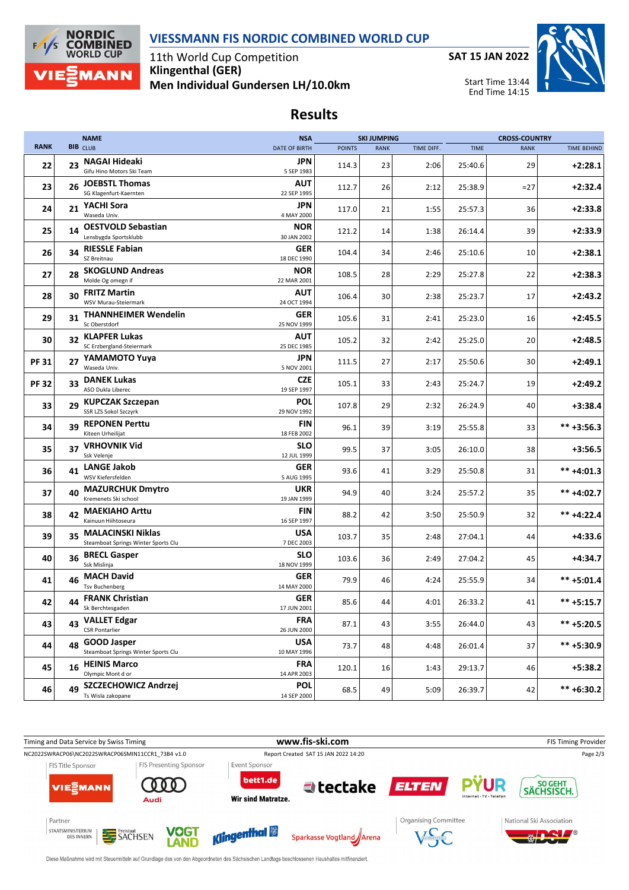



11th World Cup Competition **Klingenthal (GER) Men Individual Gundersen LH/10.0km**



## **Results**

|              |    | <b>NAME</b>                                                 | <b>NSA</b>                |               | <b>SKI JUMPING</b> |            |             | <b>CROSS-COUNTRY</b> |                    |
|--------------|----|-------------------------------------------------------------|---------------------------|---------------|--------------------|------------|-------------|----------------------|--------------------|
| <b>RANK</b>  |    | <b>BIB</b> CLUB                                             | <b>DATE OF BIRTH</b>      | <b>POINTS</b> | <b>RANK</b>        | TIME DIFF. | <b>TIME</b> | <b>RANK</b>          | <b>TIME BEHIND</b> |
| 22           |    | 23 NAGAI Hideaki<br>Gifu Hino Motors Ski Team               | JPN<br>5 SEP 1983         | 114.3         | 23                 | 2:06       | 25:40.6     | 29                   | $+2:28.1$          |
| 23           | 26 | <b>JOEBSTL Thomas</b><br>SG Klagenfurt-Kaernten             | AUT<br>22 SEP 1995        | 112.7         | 26                 | 2:12       | 25:38.9     | =27                  | $+2:32.4$          |
| 24           | 21 | YACHI Sora<br>Waseda Univ.                                  | JPN<br>4 MAY 2000         | 117.0         | 21                 | 1:55       | 25:57.3     | 36                   | $+2:33.8$          |
| 25           | 14 | <b>OESTVOLD Sebastian</b><br>Lensbygda Sportsklubb          | <b>NOR</b><br>30 JAN 2002 | 121.2         | 14                 | 1:38       | 26:14.4     | 39                   | $+2:33.9$          |
| 26           | 34 | <b>RIESSLE Fabian</b><br>SZ Breitnau                        | <b>GER</b><br>18 DEC 1990 | 104.4         | 34                 | 2:46       | 25:10.6     | 10                   | $+2:38.1$          |
| 27           | 28 | <b>SKOGLUND Andreas</b><br>Molde Og omegn if                | <b>NOR</b><br>22 MAR 2001 | 108.5         | 28                 | 2:29       | 25:27.8     | 22                   | $+2:38.3$          |
| 28           | 30 | <b>FRITZ Martin</b><br>WSV Murau-Steiermark                 | AUT<br>24 OCT 1994        | 106.4         | 30                 | 2:38       | 25:23.7     | 17                   | $+2:43.2$          |
| 29           | 31 | <b>THANNHEIMER Wendelin</b><br>Sc Oberstdorf                | GER<br>25 NOV 1999        | 105.6         | 31                 | 2:41       | 25:23.0     | 16                   | $+2:45.5$          |
| 30           |    | 32 KLAPFER Lukas<br>SC Erzbergland-Steiermark               | AUT<br>25 DEC 1985        | 105.2         | 32                 | 2:42       | 25:25.0     | 20                   | $+2:48.5$          |
| <b>PF 31</b> |    | 27 YAMAMOTO Yuya<br>Waseda Univ.                            | JPN<br>5 NOV 2001         | 111.5         | 27                 | 2:17       | 25:50.6     | 30                   | $+2:49.1$          |
| <b>PF32</b>  | 33 | <b>DANEK Lukas</b><br>ASO Dukla Liberec                     | <b>CZE</b><br>19 SEP 1997 | 105.1         | 33                 | 2:43       | 25:24.7     | 19                   | $+2:49.2$          |
| 33           |    | 29 KUPCZAK Szczepan<br>SSR LZS Sokol Szczyrk                | POL<br>29 NOV 1992        | 107.8         | 29                 | 2:32       | 26:24.9     | 40                   | $+3:38.4$          |
| 34           | 39 | <b>REPONEN Perttu</b><br>Kiteen Urheilijat                  | FIN<br>18 FEB 2002        | 96.1          | 39                 | 3:19       | 25:55.8     | 33                   | $*** +3:56.3$      |
| 35           |    | 37 VRHOVNIK Vid<br>Ssk Velenje                              | <b>SLO</b><br>12 JUL 1999 | 99.5          | 37                 | 3:05       | 26:10.0     | 38                   | $+3:56.5$          |
| 36           |    | 41 LANGE Jakob<br>WSV Kiefersfelden                         | <b>GER</b><br>5 AUG 1995  | 93.6          | 41                 | 3:29       | 25:50.8     | 31                   | $*** +4:01.3$      |
| 37           | 40 | <b>MAZURCHUK Dmytro</b><br>Kremenets Ski school             | <b>UKR</b><br>19 JAN 1999 | 94.9          | 40                 | 3:24       | 25:57.2     | 35                   | $*** +4:02.7$      |
| 38           |    | 42 MAEKIAHO Arttu<br>Kainuun Hiihtoseura                    | FIN<br>16 SEP 1997        | 88.2          | 42                 | 3:50       | 25:50.9     | 32                   | $*** +4:22.4$      |
| 39           |    | 35 MALACINSKI Niklas<br>Steamboat Springs Winter Sports Clu | <b>USA</b><br>7 DEC 2003  | 103.7         | 35                 | 2:48       | 27:04.1     | 44                   | $+4:33.6$          |
| 40           | 36 | <b>BRECL Gasper</b><br>Ssk Mislinja                         | <b>SLO</b><br>18 NOV 1999 | 103.6         | 36                 | 2:49       | 27:04.2     | 45                   | +4:34.7            |
| 41           |    | 46 MACH David<br><b>Tsv Buchenberg</b>                      | GER<br>14 MAY 2000        | 79.9          | 46                 | 4:24       | 25:55.9     | 34                   | $*** +5:01.4$      |
| 42           |    | 44 FRANK Christian<br>Sk Berchtesgaden                      | <b>GER</b><br>17 JUN 2001 | 85.6          | 44                 | 4:01       | 26:33.2     | 41                   | $*** +5:15.7$      |
| 43           | 43 | <b>VALLET Edgar</b><br><b>CSR Pontarlier</b>                | <b>FRA</b><br>26 JUN 2000 | 87.1          | 43                 | 3:55       | 26:44.0     | 43                   | $*** +5:20.5$      |
| 44           | 48 | <b>GOOD Jasper</b><br>Steamboat Springs Winter Sports Clu   | <b>USA</b><br>10 MAY 1996 | 73.7          | 48                 | 4:48       | 26:01.4     | 37                   | ** +5:30.9         |
| 45           | 16 | <b>HEINIS Marco</b><br>Olympic Mont d or                    | <b>FRA</b><br>14 APR 2003 | 120.1         | 16                 | 1:43       | 29:13.7     | 46                   | $+5:38.2$          |
| 46           | 49 | SZCZECHOWICZ Andrzej<br>Ts Wisla zakopane                   | <b>POL</b><br>14 SEP 2000 | 68.5          | 49                 | 5:09       | 26:39.7     | 42                   | $*** + 6:30.2$     |



Diese Maßnahme wird mit Steuermitteln auf Grundlage des von den Abgeordneten des Sächsischen Landtags beschlossenen Haushaltes mitfinanziert.